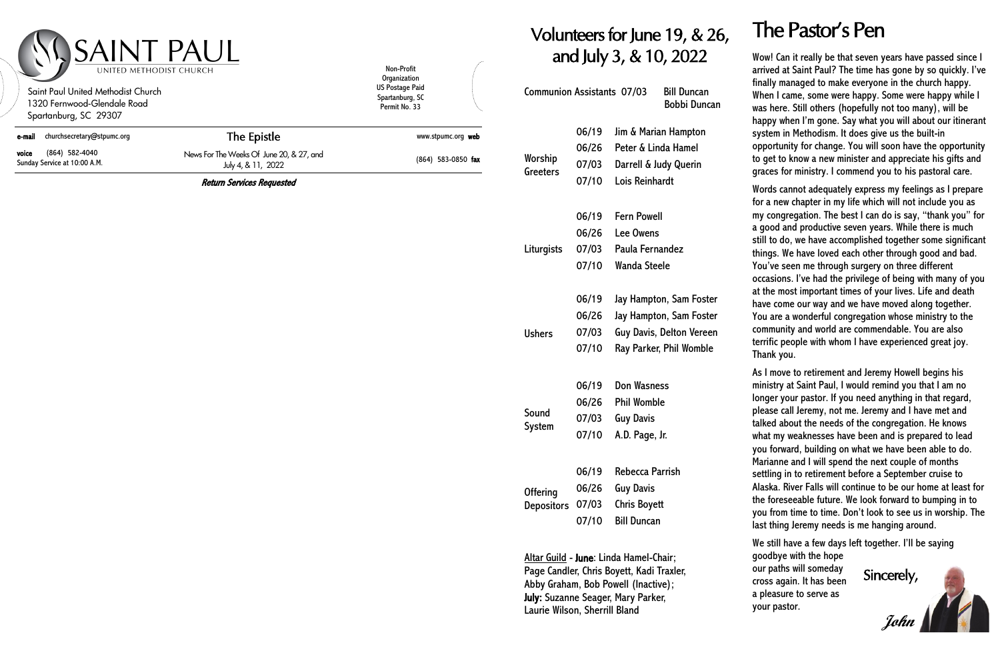## nteers for June 19, & 26,  $\;$  The Pastor's Pen and July 3, & 10, 2022

| <b>Communion Assistants 07/03</b> |       | <b>Bill Duncan</b><br>Bobbi Duncan |  |
|-----------------------------------|-------|------------------------------------|--|
|                                   | 06/19 | Jim & Marian Hampton               |  |
| Worship<br>Greeters               | 06/26 | Peter & Linda Hamel                |  |
|                                   | 07/03 | Darrell & Judy Querin              |  |
|                                   | 07/10 | Lois Reinhardt                     |  |
|                                   | 06/19 | <b>Fern Powell</b>                 |  |
|                                   | 06/26 | <b>Lee Owens</b>                   |  |
| Liturgists                        | 07/03 | Paula Fernandez                    |  |
|                                   | 07/10 | <b>Wanda Steele</b>                |  |
|                                   | 06/19 | Jay Hampton, Sam Foster            |  |
|                                   | 06/26 | Jay Hampton, Sam Foster            |  |
| <b>Ushers</b>                     | 07/03 | <b>Guy Davis, Delton Vereen</b>    |  |
|                                   | 07/10 | Ray Parker, Phil Womble            |  |
|                                   | 06/19 | <b>Don Wasness</b>                 |  |
|                                   | 06/26 | <b>Phil Womble</b>                 |  |
| Sound                             | 07/03 | <b>Guy Davis</b>                   |  |
| System                            | 07/10 | A.D. Page, Jr.                     |  |
|                                   | 06/19 | <b>Rebecca Parrish</b>             |  |
|                                   | 06/26 | <b>Guy Davis</b>                   |  |
| <b>Offering</b>                   | 07/03 | <b>Chris Boyett</b>                |  |
| <b>Depositors</b>                 | 07/10 | <b>Bill Duncan</b>                 |  |

| SAINT PAUL<br>UNITED METHODIST CHURCH<br>Saint Paul United Methodist Church<br>1320 Fernwood-Glendale Road<br>Spartanburg, SC 29307 |                                                                | Non-Profit<br>Organization<br><b>US Postage Paid</b><br>Spartanburg, SC<br>Permit No. 33 | <i>o</i> lur<br>an<br>Communior |
|-------------------------------------------------------------------------------------------------------------------------------------|----------------------------------------------------------------|------------------------------------------------------------------------------------------|---------------------------------|
| churchsecretary@stpumc.org<br>e-mail                                                                                                | The Epistle                                                    | www.stpumc.org web                                                                       |                                 |
| (864) 582-4040<br>voice<br>Sunday Service at 10:00 A.M.                                                                             | News For The Weeks Of June 20, & 27, and<br>July 4, & 11, 2022 | $(864)$ 583-0850 fax                                                                     | Worship<br>Greeters             |
|                                                                                                                                     | <b>Return Services Requested</b>                               |                                                                                          |                                 |
|                                                                                                                                     |                                                                |                                                                                          |                                 |
|                                                                                                                                     |                                                                |                                                                                          | Liturgists                      |
|                                                                                                                                     |                                                                |                                                                                          |                                 |

Altar Guild - June: Linda Hamel-Chair; Page Candler, Chris Boyett, Kadi Traxler, Abby Graham, Bob Powell (Inactive); July: Suzanne Seager, Mary Parker, Laurie Wilson, Sherrill Bland

Wow! Can it really be that seven years have passed since I arrived at Saint Paul? The time has gone by so quickly. I've finally managed to make everyone in the church happy. When I came, some were happy. Some were happy while I was here. Still others (hopefully not too many), will be happy when I'm gone. Say what you will about our itinerant system in Methodism. It does give us the built-in opportunity for change. You will soon have the opportunity to get to know a new minister and appreciate his gifts and graces for ministry. I commend you to his pastoral care.

Words cannot adequately express my feelings as I prepare for a new chapter in my life which will not include you as my congregation. The best I can do is say, "thank you" for a good and productive seven years. While there is much still to do, we have accomplished together some significant things. We have loved each other through good and bad. You've seen me through surgery on three different occasions. I've had the privilege of being with many of you at the most important times of your lives. Life and death have come our way and we have moved along together. You are a wonderful congregation whose ministry to the community and world are commendable. You are also terrific people with whom I have experienced great joy. Thank you.

As I move to retirement and Jeremy Howell begins his ministry at Saint Paul, I would remind you that I am no longer your pastor. If you need anything in that regard, please call Jeremy, not me. Jeremy and I have met and talked about the needs of the congregation. He knows what my weaknesses have been and is prepared to lead you forward, building on what we have been able to do. Marianne and I will spend the next couple of months settling in to retirement before a September cruise to Alaska. River Falls will continue to be our home at least for the foreseeable future. We look forward to bumping in to you from time to time. Don't look to see us in worship. The last thing Jeremy needs is me hanging around.

We still have a few days left together. I'll be saying

goodbye with the hope our paths will someday cross again. It has been a pleasure to serve as your pastor.

Sincerely, **John**